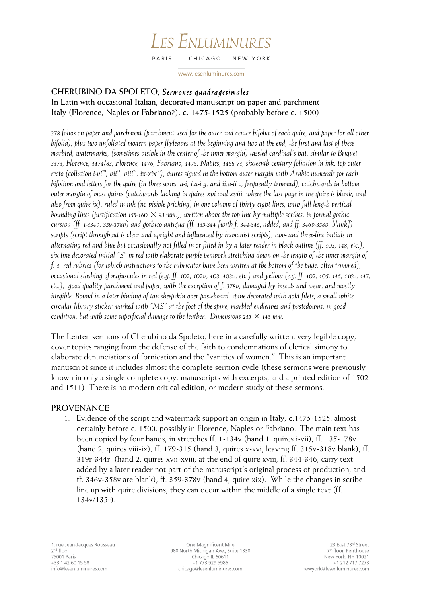#### LES ENLUMINURES PARIS CHICAGO NEW YORK

www.lesenluminures.com

# **CHERUBINO DA SPOLETO,** *Sermones quadragesimales*

**In Latin with occasional Italian, decorated manuscript on paper and parchment Italy (Florence, Naples or Fabriano?), c. 1475-1525 (probably before c. 1500)**

*378 folios on paper and parchment (parchment used for the outer and center bifolia of each quire, and paper for all other bifolia), plus two unfoliated modern paper flyleaves at the beginning and two at the end, the first and last of these marbled, watermarks, (sometimes visible in the center of the inner margin) tassled cardinal's hat, similar to Briquet 3373, Florence, 1474/83, Florence, 1476, Fabriano, 1475, Naples, 1468-71, sixteenth-century foliation in ink, top outer recto (collation i-vi<sup>20</sup>, vii<sup>14</sup>, viii<sup>24</sup>, ix-xix<sup>20</sup>), quires signed in the bottom outer margin with Arabic numerals for each bifolium and letters for the quire (in three series, a-i, i.a-i.g, and ii.a-ii.c, frequently trimmed), catchwords in bottom outer margin of most quires (catchwords lacking in quires xvi and xviii, where the last page in the quire is blank, and also from quire ix), ruled in ink (no visible pricking) in one column of thirty-eight lines, with full-length vertical bounding lines (justification 155-160 × 93 mm.), written above the top line by multiple scribes, in formal gothic cursiva (ff. 1-134v, 359-378v) and gothico antiqua (ff. 135-344 [with f. 344-346, added, and ff. 346v-358v, blank]) scripts (script throughout is clear and upright and influenced by humanist scripts), two- and three-line initials in alternating red and blue but occasionally not filled in or filled in by a later reader in black outline (ff. 103, 148, etc.), six-line decorated initial "S" in red with elaborate purple penwork stretching down on the length of the inner margin of f. 1, red rubrics (for which instructions to the rubricator have been written at the bottom of the page, often trimmed), occasional slashing of majuscules in red (e.g. ff. 102, 102v, 103, 103v, etc.) and yellow (e.g. ff. 102, 105, 116, 116v, 117, etc.), good quality parchment and paper, with the exception of f. 378v, damaged by insects and wear, and mostly illegible. Bound in a later binding of tan sheepskin over pasteboard, spine decorated with gold filets, a small white circular library sticker marked with "MS" at the foot of the spine, marbled endleaves and pastedowns, in good condition, but with some superficial damage to the leather. Dimensions 215*  $\times$  145 mm.

The Lenten sermons of Cherubino da Spoleto, here in a carefully written, very legible copy, cover topics ranging from the defense of the faith to condemnations of clerical simony to elaborate denunciations of fornication and the "vanities of women." This is an important manuscript since it includes almost the complete sermon cycle (these sermons were previously known in only a single complete copy, manuscripts with excerpts, and a printed edition of 1502 and 1511). There is no modern critical edition, or modern study of these sermons.

# **PROVENANCE**

1. Evidence of the script and watermark support an origin in Italy, c.1475-1525, almost certainly before c. 1500, possibly in Florence, Naples or Fabriano. The main text has been copied by four hands, in stretches ff. 1-134v (hand 1, quires i-vii), ff. 135-178v (hand 2, quires viii-ix), ff. 179-315 (hand 3, quires x-xvi, leaving ff. 315v-318v blank), ff. 319r-344r (hand 2, quires xvii-xviii; at the end of quire xviii, ff. 344-346, carry text added by a later reader not part of the manuscript's original process of production, and ff. 346v-358v are blank), ff. 359-378v (hand 4, quire xix). While the changes in scribe line up with quire divisions, they can occur within the middle of a single text (ff. 134v/135r).

One Magnificent Mile 980 North Michigan Ave., Suite 1330 Chicago IL 60611 +1 773 929 5986 chicago@lesenluminures.com

23 East 73rd Street 7<sup>th</sup> floor, Penthouse New York, NY 10021 +1 212 717 7273 newyork@lesenluminures.com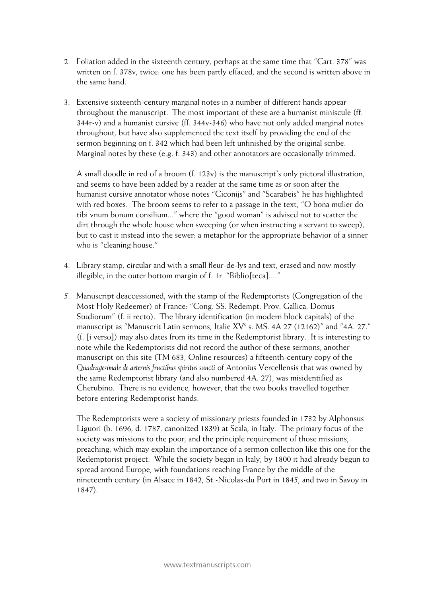- 2. Foliation added in the sixteenth century, perhaps at the same time that "Cart. 378" was written on f. 378v, twice: one has been partly effaced, and the second is written above in the same hand.
- 3. Extensive sixteenth-century marginal notes in a number of different hands appear throughout the manuscript. The most important of these are a humanist miniscule (ff. 344r-v) and a humanist cursive (ff. 344v-346) who have not only added marginal notes throughout, but have also supplemented the text itself by providing the end of the sermon beginning on f. 342 which had been left unfinished by the original scribe. Marginal notes by these (e.g. f. 343) and other annotators are occasionally trimmed.

A small doodle in red of a broom (f. 123v) is the manuscript's only pictoral illustration, and seems to have been added by a reader at the same time as or soon after the humanist cursive annotator whose notes "Ciconijs" and "Scarabeis" he has highlighted with red boxes. The broom seems to refer to a passage in the text, "O bona mulier do tibi vnum bonum consilium..." where the "good woman" is advised not to scatter the dirt through the whole house when sweeping (or when instructing a servant to sweep), but to cast it instead into the sewer: a metaphor for the appropriate behavior of a sinner who is "cleaning house."

- 4. Library stamp, circular and with a small fleur-de-lys and text, erased and now mostly illegible, in the outer bottom margin of f. 1r: "Biblio[teca]...."
- 5. Manuscript deaccessioned, with the stamp of the Redemptorists (Congregation of the Most Holy Redeemer) of France: "Cong. SS. Redempt. Prov. Gallica. Domus Studiorum" (f. ii recto). The library identification (in modern block capitals) of the manuscript as "Manuscrit Latin sermons, Italie XV<sup>e</sup> s. MS. 4A 27 (12162)" and "4A. 27." (f. [i verso]) may also dates from its time in the Redemptorist library. It is interesting to note while the Redemptorists did not record the author of these sermons, another manuscript on this site (TM 683, Online resources) a fifteenth-century copy of the *Quadragesimale de aeternis fructibus spiritus sancti* of Antonius Vercellensis that was owned by the same Redemptorist library (and also numbered 4A. 27), was misidentified as Cherubino. There is no evidence, however, that the two books travelled together before entering Redemptorist hands.

The Redemptorists were a society of missionary priests founded in 1732 by Alphonsus Liguori (b. 1696, d. 1787, canonized 1839) at Scala, in Italy. The primary focus of the society was missions to the poor, and the principle requirement of those missions, preaching, which may explain the importance of a sermon collection like this one for the Redemptorist project. While the society began in Italy, by 1800 it had already begun to spread around Europe, with foundations reaching France by the middle of the nineteenth century (in Alsace in 1842, St.-Nicolas-du Port in 1845, and two in Savoy in 1847).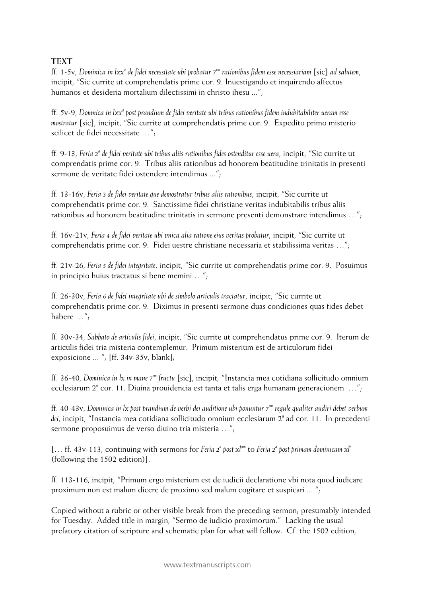# **TEXT**

ff. 1-5v, *Dominica in lxxa de fidei necessitate ubi probatur 7em rationibus fidem esse necessiariam* [sic] *ad salutem*, incipit, "Sic currite ut comprehendatis prime cor. 9. Inuestigando et inquirendo affectus humanos et desideria mortalium dilectissimi in christo ihesu ...";

ff. 5v-9, *Domnica in lxxa post prandium de fidei veritate ubi tribus rationibus fidem indubitabiliter ueram esse mostratur* [sic], incipit, "Sic currite ut comprehendatis prime cor. 9. Expedito primo misterio scilicet de fidei necessitate …";

ff. 9-13, *Feria 2a de fidei veritate ubi tribus aliis rationibus fides ostenditur esse uera*, incipit, "Sic currite ut comprendatis prime cor. 9. Tribus aliis rationibus ad honorem beatitudine trinitatis in presenti sermone de veritate fidei ostendere intendimus ...";

ff. 13-16v, *Feria 3 de fidei veritate que demostratur tribus aliis rationibus*, incipit, "Sic currite ut comprehendatis prime cor. 9. Sanctissime fidei christiane veritas indubitabilis tribus aliis rationibus ad honorem beatitudine trinitatis in sermone presenti demonstrare intendimus …";

ff. 16v-21v, *Feria 4 de fidei veritate ubi vnica alia ratione eius veritas probatur*, incipit, "Sic currite ut comprehendatis prime cor. 9. Fidei uestre christiane necessaria et stabilissima veritas …";

ff. 21v-26, *Feria 5 de fidei integritate*, incipit, "Sic currite ut comprehendatis prime cor. 9. Posuimus in principio huius tractatus si bene memini …";

ff. 26-30v, *Feria 6 de fidei integritate ubi de simbolo articulis tractatur*, incipit, "Sic currite ut comprehendatis prime cor. 9. Diximus in presenti sermone duas condiciones quas fides debet habere …";

ff. 30v-34, *Sabbato de articulis fidei*, incipit, "Sic currite ut comprehendatus prime cor. 9. Iterum de articulis fidei tria misteria contemplemur. Primum misterium est de articulorum fidei exposicione ... "; [ff. 34v-35v, blank];

ff. 36-40, *Dominica in lx in mane 7em fructu* [sic], incipit, "Instancia mea cotidiana sollicitudo omnium ecclesiarum  $2^e$  cor. 11. Diuina prouidencia est tanta et talis erga humanam generacionem ..."

ff. 40-43v, *Dominica in lx post prandium de verbi dei auditione ubi ponuntur 7em regule qualiter audiri debet verbum*  dei, incipit, "Instancia mea cotidiana sollicitudo omnium ecclesiarum 2<sup>ª</sup> ad cor. 11. In precedenti sermone proposuimus de verso diuino tria misteria …";

[… ff. 43v-113, continuing with sermons for *Feria 2a post xlam* to *Feria 2a post primam dominicam xle* (following the 1502 edition)].

ff. 113-116, incipit, "Primum ergo misterium est de iudicii declaratione vbi nota quod iudicare proximum non est malum dicere de proximo sed malum cogitare et suspicari ... ";

Copied without a rubric or other visible break from the preceding sermon; presumably intended for Tuesday. Added title in margin, "Sermo de iudicio proximorum." Lacking the usual prefatory citation of scripture and schematic plan for what will follow. Cf. the 1502 edition,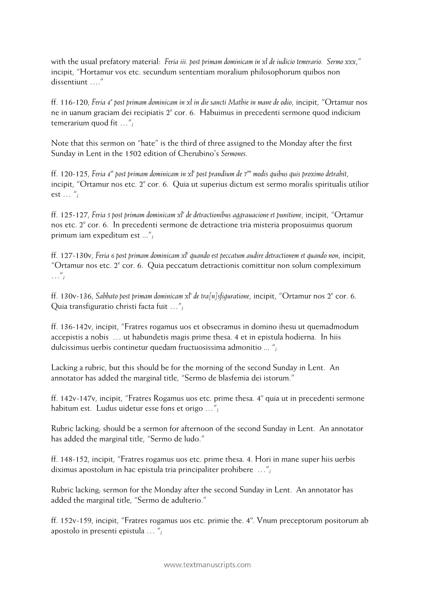with the usual prefatory material: *Feria iii. post primam dominicam in xl de iudicio temerario. Sermo xxx*," incipit, "Hortamur vos etc. secundum sententiam moralium philosophorum quibos non dissentiunt …."

ff. 116-120, *Feria 4a post primam dominicam in xl in die sancti Mathie in mane de odio*, incipit, "Ortamur nos ne in uanum graciam dei recipiatis  $2^e$  cor. 6. Habuimus in precedenti sermone quod indicium temerarium quod fit …";

Note that this sermon on "hate" is the third of three assigned to the Monday after the first Sunday in Lent in the 1502 edition of Cherubino's *Sermones*.

ff. 120-125, *Feria 4or post primam dominicam in xle post prandium de 7em modis quibus quis proximo detrahit*, incipit, "Ortamur nos etc. 2<sup>e</sup> cor. 6. Quia ut superius dictum est sermo moralis spiritualis utilior est  $\ldots$  ";

ff. 125-127, *Feria 5 post primam dominicam xle de detractionibus aggrauacione et punitione*, incipit, "Ortamur nos etc.  $2^{\circ}$  cor. 6. In precedenti sermone de detractione tria misteria proposuimus quorum primum iam expeditum est ...";

ff. 127-130v, *Feria 6 post primam dominicam xle quando est peccatum audire detractionem et quando non*, incipit, "Ortamur nos etc.  $2^e$  cor. 6. Quia peccatum detractionis comittitur non solum compleximum  $\ldots''$ ;

ff. 130v-136, *Sabbato post primam dominicam xle de tra[n]sfiguratione*, incipit, "Ortamur nos 2e cor. 6. Quia transfiguratio christi facta fuit …";

ff. 136-142v, incipit, "Fratres rogamus uos et obsecramus in domino ihesu ut quemadmodum accepistis a nobis … ut habundetis magis prime thesa. 4 et in epistula hodierna. In hiis dulcissimus uerbis continetur quedam fructuosissima admonitio ... ";

Lacking a rubric, but this should be for the morning of the second Sunday in Lent. An annotator has added the marginal title, "Sermo de blasfemia dei istorum."

ff. 142v-147v, incipit, "Fratres Rogamus uos etc. prime thesa.  $4^{\circ}$  quia ut in precedenti sermone habitum est. Ludus uidetur esse fons et origo …";

Rubric lacking; should be a sermon for afternoon of the second Sunday in Lent. An annotator has added the marginal title, "Sermo de ludo."

ff. 148-152, incipit, "Fratres rogamus uos etc. prime thesa. 4. Hori in mane super hiis uerbis diximus apostolum in hac epistula tria principaliter prohibere …";

Rubric lacking; sermon for the Monday after the second Sunday in Lent. An annotator has added the marginal title, "Sermo de adulterio."

ff. 152v-159, incipit, "Fratres rogamus uos etc. primie the.  $4^{\circ}$ . Vnum preceptorum positorum ab apostolo in presenti epistula … ";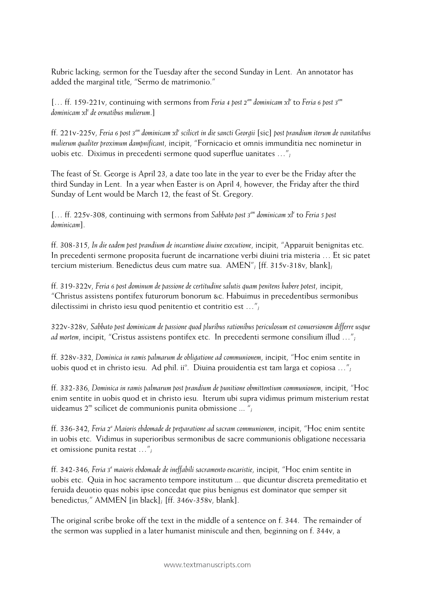Rubric lacking; sermon for the Tuesday after the second Sunday in Lent. An annotator has added the marginal title, "Sermo de matrimonio."

[... ff. 159-221v, continuing with sermons from Feria 4 post 2<sup>am</sup> dominicam xl<sup>e</sup> to Feria 6 post 3<sup>am</sup> *dominicam xle de ornatibus mulierum*.]

ff. 221v-225v, *Feria 6 post 3am dominicam xle scilicet in die sancti Georgii* [sic] *post prandium iterum de vanitatibus mulierum qualiter proximum dampnificant*, incipit, "Fornicacio et omnis immunditia nec nominetur in uobis etc. Diximus in precedenti sermone quod superflue uanitates …";

The feast of St. George is April 23, a date too late in the year to ever be the Friday after the third Sunday in Lent. In a year when Easter is on April 4, however, the Friday after the third Sunday of Lent would be March 12, the feast of St. Gregory.

[… ff. 225v-308, continuing with sermons from *Sabbato post 3 am dominicam xle* to *Feria 5 post dominicam*].

ff. 308-315, *In die eadem post prandium de incarntione diuine executione*, incipit, "Apparuit benignitas etc. In precedenti sermone proposita fuerunt de incarnatione verbi diuini tria misteria … Et sic patet tercium misterium. Benedictus deus cum matre sua. AMEN"; [ff. 315v-318v, blank];

ff. 319-322v, *Feria 6 post dominum de passione de certitudine salutis quam penitens habere potest*, incipit, "Christus assistens pontifex futurorum bonorum &c. Habuimus in precedentibus sermonibus dilectissimi in christo iesu quod penitentio et contritio est …";

322v-328v, *Sabbato post dominicam de passione quod pluribus rationibus periculosum est conuersionem differre usque ad mortem*, incipit, "Cristus assistens pontifex etc. In precedenti sermone consilium illud …";

ff. 328v-332, *Dominica in ramis palmarum de obligatione ad communionem*, incipit, "Hoc enim sentite in uobis quod et in christo iesu. Ad phil. ii $^{\circ}$ . Diuina prouidentia est tam larga et copiosa ...";

ff. 332-336, *Dominica in ramis palmarum post prandium de punitione obmittentium communionem*, incipit, "Hoc enim sentite in uobis quod et in christo iesu. Iterum ubi supra vidimus primum misterium restat uideamus  $2^m$  scilicet de communionis punita obmissione ... ";

ff. 336-342, *Feria 2a Maioris ebdomade de preparatione ad sacram communionem*, incipit, "Hoc enim sentite in uobis etc. Vidimus in superioribus sermonibus de sacre communionis obligatione necessaria et omissione punita restat …";

ff. 342-346, *Feria 3a maioris ebdomade de ineffabili sacramento eucaristie*, incipit, "Hoc enim sentite in uobis etc. Quia in hoc sacramento tempore institutum ... que dicuntur discreta premeditatio et feruida deuotio quas nobis ipse concedat que pius benignus est dominator que semper sit benedictus," AMMEN [in black]; [ff. 346v-358v, blank].

The original scribe broke off the text in the middle of a sentence on f. 344. The remainder of the sermon was supplied in a later humanist miniscule and then, beginning on f. 344v, a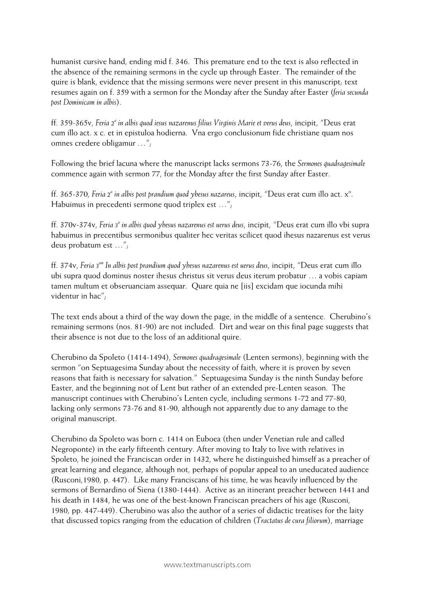humanist cursive hand, ending mid f. 346. This premature end to the text is also reflected in the absence of the remaining sermons in the cycle up through Easter. The remainder of the quire is blank, evidence that the missing sermons were never present in this manuscript; text resumes again on f. 359 with a sermon for the Monday after the Sunday after Easter (*feria secunda post Dominicam in albis*).

ff. 359-365v, *Feria 2a in albis quod iesus nazarenus filius Virginis Marie et verus deus*, incipit, "Deus erat cum illo act. x c. et in epistuloa hodierna. Vna ergo conclusionum fide christiane quam nos omnes credere obligamur …";

Following the brief lacuna where the manuscript lacks sermons 73-76, the *Sermones quadragesimale* commence again with sermon 77, for the Monday after the first Sunday after Easter.

ff. 365-370, *Feria* 2<sup>ª</sup> *in albis post prandium quod yhesus nazareus, incipit, "Deus erat cum illo act. x<sup>o</sup>.* Habuimus in precedenti sermone quod triplex est …";

ff. 370v-374v, *Feria 3a in albis quod yhesus nazarenus est uerus deus*, incipit, "Deus erat cum illo vbi supra habuimus in precentibus sermonibus qualiter hec veritas scilicet quod ihesus nazarenus est verus deus probatum est …";

ff. 374v, *Feria 3am In albis post prandium quod yhesus nazarenus est uerus deus*, incipit, "Deus erat cum illo ubi supra quod dominus noster ihesus christus sit verus deus iterum probatur … a vobis capiam tamen multum et obseruanciam assequar. Quare quia ne [iis] excidam que iocunda mihi videntur in hac";

The text ends about a third of the way down the page, in the middle of a sentence. Cherubino's remaining sermons (nos. 81-90) are not included. Dirt and wear on this final page suggests that their absence is not due to the loss of an additional quire.

Cherubino da Spoleto (1414-1494), *Sermones quadragesimale* (Lenten sermons), beginning with the sermon "on Septuagesima Sunday about the necessity of faith, where it is proven by seven reasons that faith is necessary for salvation." Septuagesima Sunday is the ninth Sunday before Easter, and the beginning not of Lent but rather of an extended pre-Lenten season. The manuscript continues with Cherubino's Lenten cycle, including sermons 1-72 and 77-80, lacking only sermons 73-76 and 81-90, although not apparently due to any damage to the original manuscript.

Cherubino da Spoleto was born c. 1414 on Euboea (then under Venetian rule and called Negroponte) in the early fifteenth century. After moving to Italy to live with relatives in Spoleto, he joined the Franciscan order in 1432, where he distinguished himself as a preacher of great learning and elegance, although not, perhaps of popular appeal to an uneducated audience (Rusconi,1980, p. 447). Like many Franciscans of his time, he was heavily influenced by the sermons of Bernardino of Siena (1380-1444). Active as an itinerant preacher between 1441 and his death in 1484, he was one of the best-known Franciscan preachers of his age (Rusconi, 1980, pp. 447-449). Cherubino was also the author of a series of didactic treatises for the laity that discussed topics ranging from the education of children (*Tractatus de cura filiorum*), marriage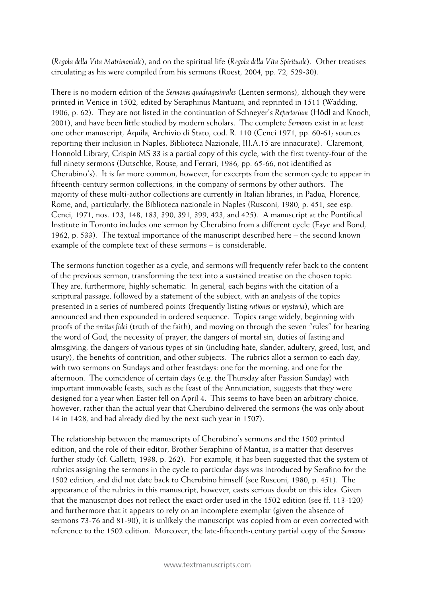(*Regola della Vita Matrimoniale*), and on the spiritual life (*Regola della Vita Spirituale*). Other treatises circulating as his were compiled from his sermons (Roest, 2004, pp. 72, 529-30).

There is no modern edition of the *Sermones quadragesimales* (Lenten sermons), although they were printed in Venice in 1502, edited by Seraphinus Mantuani, and reprinted in 1511 (Wadding, 1906, p. 62). They are not listed in the continuation of Schneyer's *Repertorium* (Hödl and Knoch, 2001), and have been little studied by modern scholars. The complete *Sermones* exist in at least one other manuscript, Aquila, Archivio di Stato, cod. R. 110 (Cenci 1971, pp. 60-61; sources reporting their inclusion in Naples, Biblioteca Nazionale, III.A.15 are innacurate). Claremont, Honnold Library, Crispin MS 33 is a partial copy of this cycle, with the first twenty-four of the full ninety sermons (Dutschke, Rouse, and Ferrari, 1986, pp. 65-66, not identified as Cherubino's). It is far more common, however, for excerpts from the sermon cycle to appear in fifteenth-century sermon collections, in the company of sermons by other authors. The majority of these multi-author collections are currently in Italian libraries, in Padua, Florence, Rome, and, particularly, the Biblioteca nazionale in Naples (Rusconi, 1980, p. 451, see esp. Cenci, 1971, nos. 123, 148, 183, 390, 391, 399, 423, and 425). A manuscript at the Pontifical Institute in Toronto includes one sermon by Cherubino from a different cycle (Faye and Bond, 1962, p. 533). The textual importance of the manuscript described here – the second known example of the complete text of these sermons – is considerable.

The sermons function together as a cycle, and sermons will frequently refer back to the content of the previous sermon, transforming the text into a sustained treatise on the chosen topic. They are, furthermore, highly schematic. In general, each begins with the citation of a scriptural passage, followed by a statement of the subject, with an analysis of the topics presented in a series of numbered points (frequently listing *rationes* or *mysteria*), which are announced and then expounded in ordered sequence. Topics range widely, beginning with proofs of the *veritas fidei* (truth of the faith), and moving on through the seven "rules" for hearing the word of God, the necessity of prayer, the dangers of mortal sin, duties of fasting and almsgiving, the dangers of various types of sin (including hate, slander, adultery, greed, lust, and usury), the benefits of contrition, and other subjects. The rubrics allot a sermon to each day, with two sermons on Sundays and other feastdays: one for the morning, and one for the afternoon. The coincidence of certain days (e.g. the Thursday after Passion Sunday) with important immovable feasts, such as the feast of the Annunciation, suggests that they were designed for a year when Easter fell on April 4. This seems to have been an arbitrary choice, however, rather than the actual year that Cherubino delivered the sermons (he was only about 14 in 1428, and had already died by the next such year in 1507).

The relationship between the manuscripts of Cherubino's sermons and the 1502 printed edition, and the role of their editor, Brother Seraphino of Mantua, is a matter that deserves further study (cf. Galletti, 1938, p. 262). For example, it has been suggested that the system of rubrics assigning the sermons in the cycle to particular days was introduced by Serafino for the 1502 edition, and did not date back to Cherubino himself (see Rusconi, 1980, p. 451). The appearance of the rubrics in this manuscript, however, casts serious doubt on this idea. Given that the manuscript does not reflect the exact order used in the 1502 edition (see ff. 113-120) and furthermore that it appears to rely on an incomplete exemplar (given the absence of sermons 73-76 and 81-90), it is unlikely the manuscript was copied from or even corrected with reference to the 1502 edition. Moreover, the late-fifteenth-century partial copy of the *Sermones*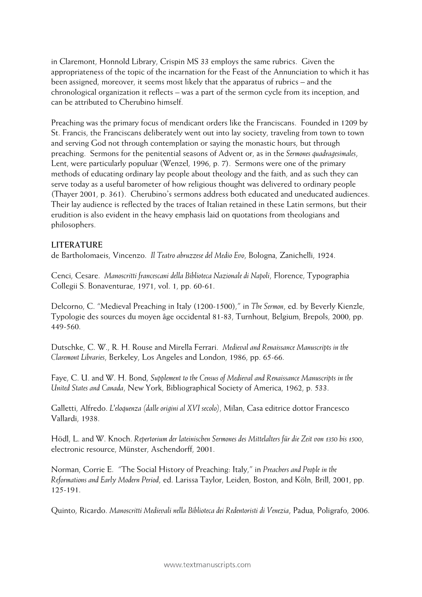in Claremont, Honnold Library, Crispin MS 33 employs the same rubrics. Given the appropriateness of the topic of the incarnation for the Feast of the Annunciation to which it has been assigned, moreover, it seems most likely that the apparatus of rubrics – and the chronological organization it reflects – was a part of the sermon cycle from its inception, and can be attributed to Cherubino himself.

Preaching was the primary focus of mendicant orders like the Franciscans. Founded in 1209 by St. Francis, the Franciscans deliberately went out into lay society, traveling from town to town and serving God not through contemplation or saying the monastic hours, but through preaching. Sermons for the penitential seasons of Advent or, as in the *Sermones quadragesimales*, Lent, were particularly populuar (Wenzel, 1996, p. 7). Sermons were one of the primary methods of educating ordinary lay people about theology and the faith, and as such they can serve today as a useful barometer of how religious thought was delivered to ordinary people (Thayer 2001, p. 361). Cherubino's sermons address both educated and uneducated audiences. Their lay audience is reflected by the traces of Italian retained in these Latin sermons, but their erudition is also evident in the heavy emphasis laid on quotations from theologians and philosophers.

### **LITERATURE**

de Bartholomaeis, Vincenzo. *Il Teatro abruzzese del Medio Evo*, Bologna, Zanichelli, 1924.

Cenci, Cesare. *Manoscritti francescani della Biblioteca Nazionale di Napoli*, Florence, Typographia Collegii S. Bonaventurae, 1971, vol. 1, pp. 60-61.

Delcorno, C. "Medieval Preaching in Italy (1200-1500)," in *The Sermon*, ed. by Beverly Kienzle, Typologie des sources du moyen âge occidental 81-83, Turnhout, Belgium, Brepols, 2000, pp. 449-560.

Dutschke, C. W., R. H. Rouse and Mirella Ferrari. *Medieval and Renaissance Manuscripts in the Claremont Libraries*, Berkeley, Los Angeles and London, 1986, pp. 65-66.

Faye, C. U. and W. H. Bond, *Supplement to the Census of Medieval and Renaissance Manuscripts in the United States and Canada*, New York, Bibliographical Society of America, 1962, p. 533.

Galletti, Alfredo. *L'eloquenza (dalle origini al XVI secolo)*, Milan, Casa editrice dottor Francesco Vallardi, 1938.

Hödl, L. and W. Knoch. *Repertorium der lateinischen Sermones des Mittelalters für die Zeit von 1350 bis 1500*, electronic resource, Münster, Aschendorff, 2001.

Norman, Corrie E. "The Social History of Preaching: Italy," in *Preachers and People in the Reformations and Early Modern Period*, ed. Larissa Taylor, Leiden, Boston, and Köln, Brill, 2001, pp. 125-191.

Quinto, Ricardo. *Manoscritti Medievali nella Biblioteca dei Redentoristi di Venezia*, Padua, Poligrafo, 2006.